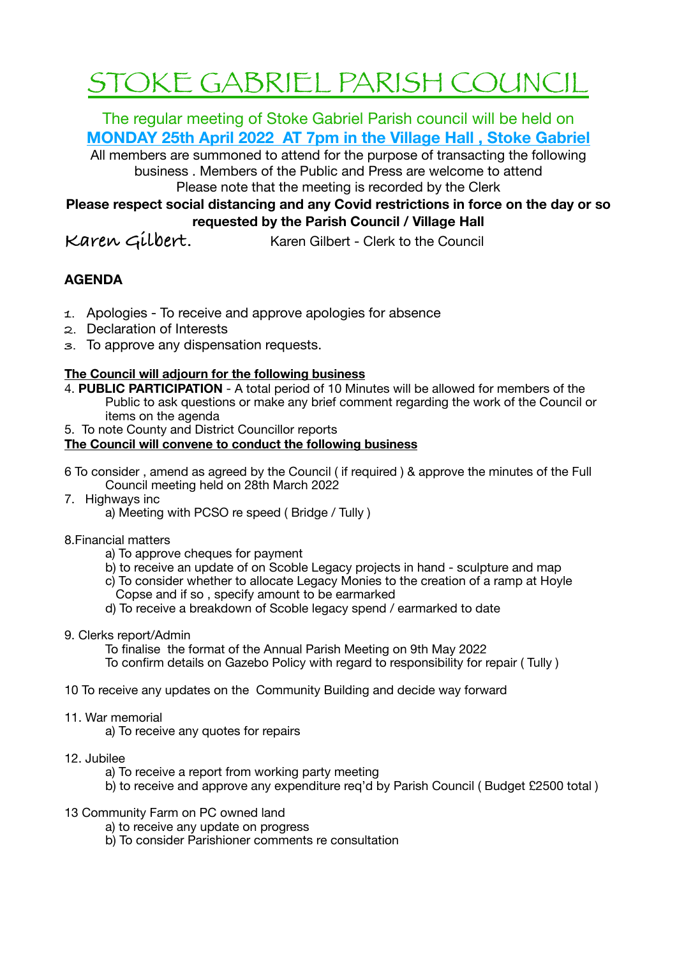# STOKE GABRIEL PARISH COUNCIL

The regular meeting of Stoke Gabriel Parish council will be held on **MONDAY 25th April 2022 AT 7pm in the Village Hall , Stoke Gabriel** 

All members are summoned to attend for the purpose of transacting the following business . Members of the Public and Press are welcome to attend Please note that the meeting is recorded by the Clerk

**Please respect social distancing and any Covid restrictions in force on the day or so requested by the Parish Council / Village Hall** 

**Karen Gilbert.** Karen Gilbert - Clerk to the Council

## **AGENDA**

- **1.** Apologies To receive and approve apologies for absence
- **2.** Declaration of Interests
- **3.** To approve any dispensation requests.

## **The Council will adjourn for the following business**

- 4. **PUBLIC PARTICIPATION**  A total period of 10 Minutes will be allowed for members of the Public to ask questions or make any brief comment regarding the work of the Council or items on the agenda
- 5. To note County and District Councillor reports

## **The Council will convene to conduct the following business**

- 6 To consider , amend as agreed by the Council ( if required ) & approve the minutes of the Full Council meeting held on 28th March 2022
- 7. Highways inc
	- a) Meeting with PCSO re speed ( Bridge / Tully )
- 8.Financial matters
	- a) To approve cheques for payment
	- b) to receive an update of on Scoble Legacy projects in hand sculpture and map
	- c) To consider whether to allocate Legacy Monies to the creation of a ramp at Hoyle Copse and if so , specify amount to be earmarked
	- d) To receive a breakdown of Scoble legacy spend / earmarked to date
- 9. Clerks report/Admin

To finalise the format of the Annual Parish Meeting on 9th May 2022 To confirm details on Gazebo Policy with regard to responsibility for repair ( Tully )

- 10 To receive any updates on the Community Building and decide way forward
- 11. War memorial

a) To receive any quotes for repairs

- 12. Jubilee
	- a) To receive a report from working party meeting
	- b) to receive and approve any expenditure req'd by Parish Council ( Budget £2500 total )
- 13 Community Farm on PC owned land
	- a) to receive any update on progress
	- b) To consider Parishioner comments re consultation